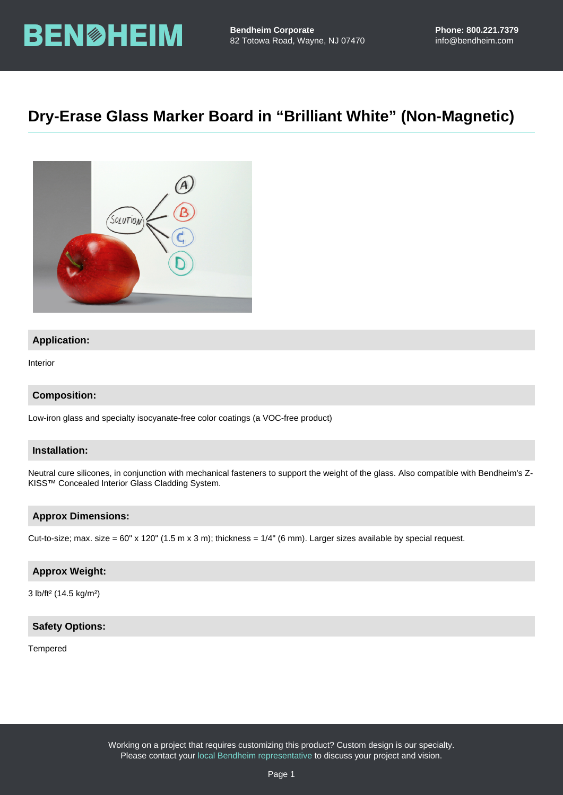# Dry-Erase Glass Marker Board in "Brilliant White" (Non-Magnetic)

# Application:

Interior

Composition:

Low-iron glass and specialty isocyanate-free color coatings (a VOC-free product)

# Installation:

Neutral cure silicones, in conjunction with mechanical fasteners to support the weight of the glass. Also compatible with Bendheim's Z-KISS™ Concealed Interior Glass Cladding System.

#### Approx Dimensions:

Cut-to-size; max. size = 60" x 120" (1.5 m x 3 m); thickness =  $1/4$ " (6 mm). Larger sizes available by special request.

### Approx Weight:

3 lb/ft² (14.5 kg/m²)

## Safety Options:

#### Tempered

Working on a project that requires customizing this product? Custom design is our specialty. Please contact your [local Bendheim representative](https://bendheim.com/professional/find-a-rep/) to discuss your project and vision.